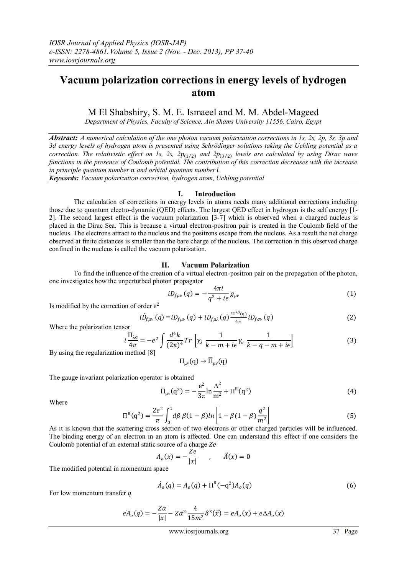# **Vacuum polarization corrections in energy levels of hydrogen atom**

M El Shabshiry, S. M. E. Ismaeel and M. M. Abdel-Mageed

*Department of Physics, Faculty of Science, Ain Shams University 11556, Cairo, Egypt*

*Abstract: A numerical calculation of the one photon vacuum polarization corrections in 1s, 2s, 2p, 3s, 3p and 3d energy levels of hydrogen atom is presented using Schrödinger solutions taking the Uehling potential as a correction. The relativistic effect on 1s, 2s,*  $2p_{(1/2)}$  *and*  $2p_{(3/2)}$  *levels are calculated by using Dirac wave functions in the presence of Coulomb potential. The contribution of this correction decreases with the increase in principle quantum number n and orbital quantum number l.* 

*Keywords: Vacuum polarization correction, hydrogen atom, Uehling potential*

### **I. Introduction**

The calculation of corrections in energy levels in atoms needs many additional corrections including those due to quantum electro-dynamic (QED) effects. The largest QED effect in hydrogen is the self energy [1- 2]. The second largest effect is the vacuum polarization [3-7] which is observed when a charged nucleus is placed in the Dirac Sea. This is because a virtual electron-positron pair is created in the Coulomb field of the nucleus. The electrons attract to the nucleus and the positrons escape from the nucleus. As a result the net charge observed at finite distances is smaller than the bare charge of the nucleus. The correction in this observed charge confined in the nucleus is called the vacuum polarization.

## **II. Vacuum Polarization**

To find the influence of the creation of a virtual electron-positron pair on the propagation of the photon, one investigates how the unperturbed photon propagator

$$
i D_{f\mu\nu}(q) = -\frac{4\pi i}{q^2 + i\epsilon} g_{\mu\nu}
$$
 (1)

Is modified by the correction of order  $e^2$ 

$$
i\hat{D}_{f\mu\nu}(q) = iD_{f\mu\nu}(q) + iD_{f\mu\lambda}(q)\frac{i\Pi^{\lambda\sigma}(q)}{4\pi}iD_{f\sigma\nu}(q)
$$
 (2)

Where the polarization tensor

$$
i\frac{\Pi_{\lambda\sigma}}{4\pi} = -e^2 \int \frac{d^4k}{(2\pi)^4} Tr \left[ \gamma_\lambda \frac{1}{k-m+i\epsilon} \gamma_\sigma \frac{1}{k-q-m+i\epsilon} \right]
$$
(3)

By using the regularization method [8]

$$
\Pi_{\mu\nu}(q) \to \overline{\Pi}_{\mu\nu}(q)
$$

The gauge invariant polarization operator is obtained

$$
\overline{\Pi}_{\mu\nu}(q^2) = -\frac{e^2}{3\pi} \ln \frac{\Lambda^2}{m^2} + \Pi^R(q^2)
$$
 (4)

Where

$$
\Pi^{R}(q^{2}) = \frac{2e^{2}}{\pi} \int_{0}^{1} d\beta \beta (1 - \beta) \ln \left[ 1 - \beta (1 - \beta) \frac{q^{2}}{m^{2}} \right]
$$
(5)

As it is known that the scattering cross section of two electrons or other charged particles will be influenced. The binding energy of an electron in an atom is affected. One can understand this effect if one considers the Coulomb potential of an external static source of a charge  $Ze$ 

$$
A_o(x) = -\frac{Ze}{|x|} \qquad , \qquad \vec{A}(x) = 0
$$

The modified potential in momentum space

$$
\hat{A}_o(q) = A_o(q) + \Pi^R(-q^2)A_o(q)
$$
\n(6)

For low momentum transfer  $q$ 

$$
eA_o(q) = -\frac{Z\alpha}{|x|} - Z\alpha^2 \frac{4}{15m^2} \delta^3(\vec{x}) = eA_o(x) + e\Delta A_o(x)
$$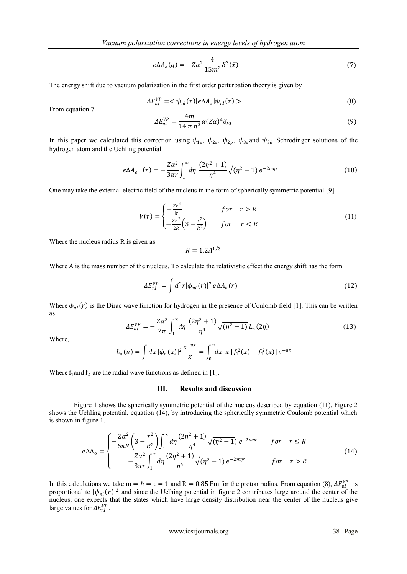$$
e\Delta A_o(q) = -Z\alpha^2 \frac{4}{15m^2} \delta^3(\vec{x})
$$
\n(7)

The energy shift due to vacuum polarization in the first order perturbation theory is given by

$$
\Delta E_{nl}^{VP} = \langle \psi_{nl}(r) | e \Delta A_o | \psi_{nl}(r) \rangle \tag{8}
$$

From equation 7

$$
\Delta E_{nl}^{VP} = \frac{4m}{14 \pi n^3} \alpha (Z\alpha)^4 \delta_{l0}
$$
 (9)

In this paper we calculated this correction using  $\psi_{1s}$ ,  $\psi_{2s}$ ,  $\psi_{2p}$ ,  $\psi_{3s}$  and  $\psi_{3d}$  Schrodinger solutions of the hydrogen atom and the Uehling potential

$$
e\Delta A_o \quad (r) = -\frac{Z\alpha^2}{3\pi r} \int_1^\infty d\eta \, \frac{(2\eta^2 + 1)}{\eta^4} \sqrt{(\eta^2 - 1)} \, e^{-2m\eta r} \tag{10}
$$

One may take the external electric field of the nucleus in the form of spherically symmetric potential [9]

$$
V(r) = \begin{cases} -\frac{Ze^2}{|r|} & \text{for } r > R\\ -\frac{Ze^2}{2R} \left(3 - \frac{r^2}{R^2}\right) & \text{for } r < R \end{cases}
$$
(11)

Where the nucleus radius R is given as

$$
R=1.2A^{1/3}
$$

Where A is the mass number of the nucleus. To calculate the relativistic effect the energy shift has the form

$$
\Delta E_{nl}^{VP} = \int d^3r |\phi_{nl}(r)|^2 e\Delta A_o(r)
$$
\n(12)

Where  $\phi_{nl}(r)$  is the Dirac wave function for hydrogen in the presence of Coulomb field [1]. This can be written as

$$
\Delta E_{nl}^{VP} = -\frac{Z\alpha^2}{2\pi} \int_1^\infty d\eta \, \frac{(2\eta^2 + 1)}{\eta^4} \sqrt{(\eta^2 - 1)} \, L_n(2\eta) \tag{13}
$$

Where,

$$
L_n(u) = \int dx \, |\phi_n(x)|^2 \frac{e^{-ux}}{x} = \int_0^\infty dx \, x \, [f_1^2(x) + f_1^2(x)] \, e^{-ux}
$$

Where  $f_1$  and  $f_2$  are the radial wave functions as defined in [1].

#### **III. Results and discussion**

Figure 1 shows the spherically symmetric potential of the nucleus described by equation (11). Figure 2 shows the Uehling potential, equation (14), by introducing the spherically symmetric Coulomb potential which is shown in figure 1.

$$
e\Delta A_{o} = \begin{cases} -\frac{Z\alpha^{2}}{6\pi R} \left(3 - \frac{r^{2}}{R^{2}}\right) \int_{1}^{\infty} d\eta \frac{(2\eta^{2} + 1)}{\eta^{4}} \sqrt{(\eta^{2} - 1)} e^{-2m\eta r} & \text{for } r \leq R\\ -\frac{Z\alpha^{2}}{3\pi r} \int_{1}^{\infty} d\eta \frac{(2\eta^{2} + 1)}{\eta^{4}} \sqrt{(\eta^{2} - 1)} e^{-2m\eta r} & \text{for } r > R \end{cases}
$$
(14)

In this calculations we take  $m = \hbar = c = 1$  and R = 0.85 Fm for the proton radius. From equation (8),  $\Delta E_{nl}^{VP}$  is proportional to  $|\psi_{nl}(r)|^2$  and since the Uelhing potential in figure 2 contributes large around the center of the nucleus, one expects that the states which have large density distribution near the center of the nucleus give large values for  $\Delta E_{nl}^{VP}$ .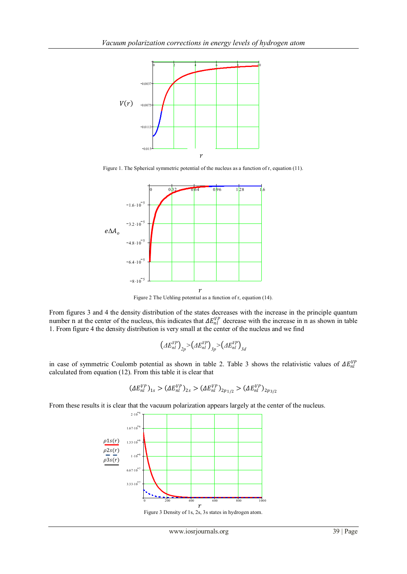

Figure 1. The Spherical symmetric potential of the nucleus as a function of r, equation (11).



Figure 2 The Uehling potential as a function of r, equation (14).

From figures 3 and 4 the density distribution of the states decreases with the increase in the principle quantum number n at the center of the nucleus, this indicates that  $\Delta E_{nl}^{VP}$  decrease with the increase in n as shown in table 1. From figure 4 the density distribution is very small at the center of the nucleus and we find

$$
\left( \varDelta E_{nl}^{VP} \right)_{2p} > \left( \varDelta E_{nl}^{VP} \right)_{3p} > \left( \varDelta E_{nl}^{VP} \right)_{3d}
$$

in case of symmetric Coulomb potential as shown in table 2. Table 3 shows the relativistic values of  $\Delta E_{nl}^{VP}$ calculated from equation (12). From this table it is clear that

$$
(\varDelta E_{nl}^{VP})_{1s} > (\varDelta E_{nl}^{VP})_{2s} > (\varDelta E_{nl}^{VP})_{2p_{1/2}} > (\varDelta E_{nl}^{VP})_{2p_{3/2}}
$$

From these results it is clear that the vacuum polarization appears largely at the center of the nucleus.